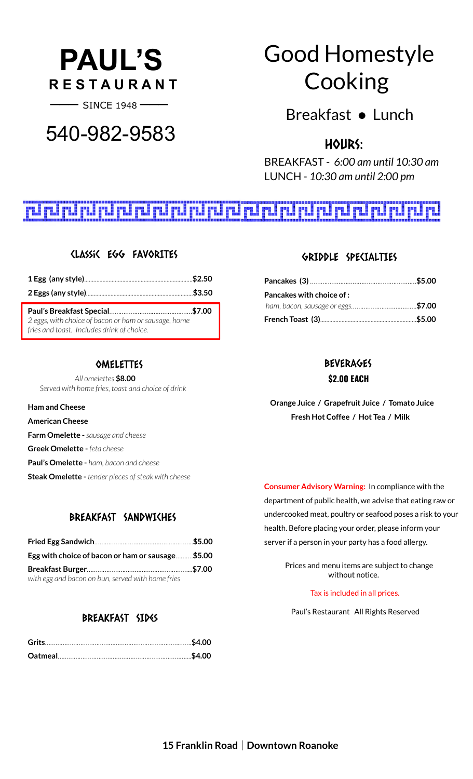# **PAUL'S R E S T A U R A N T**

**───** SINCE <sup>1948</sup> **───**

# 540-982-9583

# Good Homestyle Cooking

Breakfast ● Lunch

# HOURS:

BREAKFAST - *6:00 am until 10:30 am* LUNCH - *10:30 am until 2:00 pm*

# 

# Classic Egg FAVORITES

| 2 eggs, with choice of bacon or ham or sausage, home<br>fries and toast. Includes drink of choice. |  |
|----------------------------------------------------------------------------------------------------|--|

#### **OMELETTES**

*All omelettes* **\$8.00** *Served with home fries, toast and choice of drink*

**Ham and Cheese**

**American Cheese**

**Farm Omelette -***sausage and cheese*

**Greek Omelette -** *feta cheese*

**Paul's Omelette -** *ham, bacon and cheese*

**Steak Omelette -** *tender pieces ofsteak with cheese*

#### BREAKFAST SANDWICHES

| Egg with choice of bacon or ham or sausage\$5.00  |  |
|---------------------------------------------------|--|
|                                                   |  |
| with egg and bacon on bun, served with home fries |  |

## BREAKFAST SIDES

#### GRIDDLE SPECIALTIES

| <b>Pancakes with choice of :</b> |  |
|----------------------------------|--|
|                                  |  |
|                                  |  |

# BEVERAGES **\$2.00 EACH**

**Orange Juice / Grapefruit Juice / Tomato Juice Fresh Hot Coffee / Hot Tea / Milk**

**Consumer Advisory Warning:** In compliance with the department of public health, we advise that eating raw or undercooked meat, poultry or seafood poses a risk to your health. Before placing your order, please inform your server if a person in your party has a food allergy.

> Prices and menu items are subject to change without notice.

#### Tax is included in all prices.

Paul's Restaurant All Rights Reserved